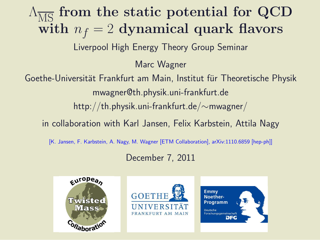## $\Lambda_{\overline{\text{MS}}}$  from the static potential for QCD with  $n_f = 2$  dynamical quark flavors

Liverpool High Energy Theory Group Seminar

Marc Wagner

Goethe-Universität Frankfurt am Main, Institut für Theoretische Physik mwagner@th.physik.uni-frankfurt.de

http://th.physik.uni-frankfurt.de/∼mwagner/

in collaboration with Karl Jansen, Felix Karbstein, Attila Nagy

[K. Jansen, F. Karbstein, A. Nagy, M. Wagner [ETM Collaboration], arXiv:1110.6859 [hep-ph]]

December 7, 2011





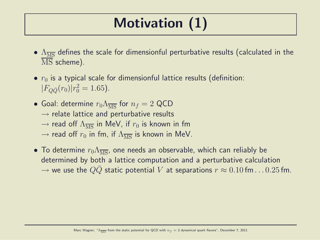## Motivation (1)

- $\Lambda_{\overline{\rm MS}}$  defines the scale for dimensionful perturbative results (calculated in the  $\overline{\text{MS}}$  scheme).
- $r_0$  is a typical scale for dimensionful lattice results (definition:  $|F_{Q\bar{Q}}(r_0)|r_0^2 = 1.65$ ).
- Goal: determine  $r_0 \Lambda_{\overline{\rm MS}}$  for  $n_f = 2$  QCD  $\rightarrow$  relate lattice and perturbative results  $\rightarrow$  read off  $\Lambda_{\overline{\rm MS}}$  in MeV, if  $r_0$  is known in fm  $\rightarrow$  read off  $r_0$  in fm, if  $\Lambda_{\overline{MS}}$  is known in MeV.
- To determine  $r_0\Lambda_{\overline{\rm MS}}$ , one needs an observable, which can reliably be determined by both a lattice computation and a perturbative calculation  $\rightarrow$  we use the  $QQ$  static potential V at separations  $r \approx 0.10$  fm... . 0.25 fm.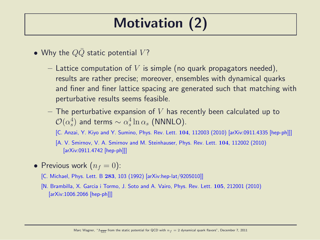## Motivation (2)

- Why the  $Q\bar{Q}$  static potential  $V$ ?
	- Lattice computation of V is simple (no quark propagators needed), results are rather precise; moreover, ensembles with dynamical quarks and finer and finer lattice spacing are generated such that matching with perturbative results seems feasible.
	- $-$  The perturbative expansion of V has recently been calculated up to  ${\cal O}(\alpha_s^4$  $_s^4$ ) and terms  $\sim \alpha_s^4$  $\frac{4}{s}\ln \alpha_s$  (NNNLO).

[C. Anzai, Y. Kiyo and Y. Sumino, Phys. Rev. Lett. 104, 112003 (2010) [arXiv:0911.4335 [hep-ph]]]

[A. V. Smirnov, V. A. Smirnov and M. Steinhauser, Phys. Rev. Lett. 104, 112002 (2010) [arXiv:0911.4742 [hep-ph]]]

- Previous work  $(n_f = 0)$ :
	- [C. Michael, Phys. Lett. B 283, 103 (1992) [arXiv:hep-lat/9205010]]
	- [N. Brambilla, X. Garcia i Tormo, J. Soto and A. Vairo, Phys. Rev. Lett. 105, 212001 (2010) [arXiv:1006.2066 [hep-ph]]]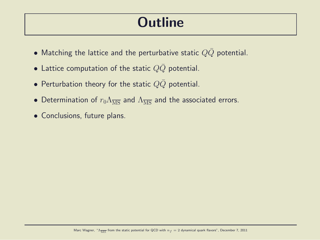#### **Outline**

- Matching the lattice and the perturbative static  $Q\bar{Q}$  potential.
- Lattice computation of the static  $QQ$  potential.
- Perturbation theory for the static  $QQ$  potential.
- Determination of  $r_0 \Lambda_{\overline{\rm MS}}$  and  $\Lambda_{\overline{\rm MS}}$  and the associated errors.
- Conclusions, future plans.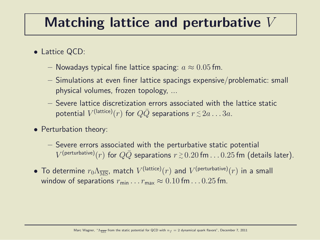#### Matching lattice and perturbative V

- Lattice QCD:
	- Nowadays typical fine lattice spacing:  $a \approx 0.05$  fm.
	- Simulations at even finer lattice spacings expensive/problematic: small physical volumes, frozen topology, ...
	- Severe lattice discretization errors associated with the lattice static potential  $V^{\text{(lattice)}}(r)$  for  $Q\bar{Q}$  separations  $r\,{\lesssim}\,2a\ldots3a.$
- Perturbation theory:
	- Severe errors associated with the perturbative static potential  $V^{\sf (perturbative)}(r)$  for  $Q\bar Q$  separations  $r\,{\gtrsim}\,0.20\,{\sf fm} \dots 0.25\,{\sf fm}$  (details later).
- $\bullet$  To determine  $r_0\Lambda_{\overline{\rm MS}}$ , match  $V^{\rm (lattice)}(r)$  and  $V^{\rm (perturbative)}(r)$  in a small window of separations  $r_{\min} \dots r_{\max} \approx 0.10$  fm...  $0.25$  fm.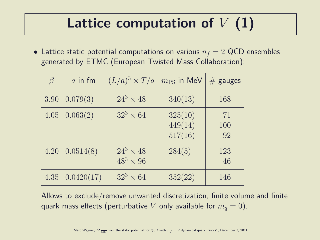### Lattice computation of  $V(1)$

• Lattice static potential computations on various  $n_f = 2$  QCD ensembles generated by ETMC (European Twisted Mass Collaboration):

| $\beta$ | $\alpha$ in fm | $(L/a)^3 \times T/a$                 | $m_{\rm PS}$ in MeV           | $#$ gauges      |
|---------|----------------|--------------------------------------|-------------------------------|-----------------|
| 3.90    | 0.079(3)       | $24^3 \times 48$                     | 340(13)                       | 168             |
| 4.05    | 0.063(2)       | $32^3 \times 64$                     | 325(10)<br>449(14)<br>517(16) | 71<br>100<br>92 |
| 4.20    | 0.0514(8)      | $24^3 \times 48$<br>$48^3 \times 96$ | 284(5)                        | 123<br>46       |
| 4.35    | 0.0420(17)     | $32^3 \times 64$                     | 352(22)                       | 146             |

Allows to exclude/remove unwanted discretization, finite volume and finite quark mass effects (perturbative V only available for  $m_q = 0$ ).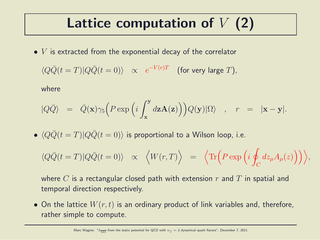### Lattice computation of  $V(2)$

 $\bullet$  V is extracted from the exponential decay of the correlator

$$
\langle Q\bar{Q}(t=T)|Q\bar{Q}(t=0)\rangle \quad \propto \quad e^{-V(r)T} \quad \text{(for very large } T\text{)},
$$

where

$$
|Q\bar{Q}\rangle = \bar{Q}(\mathbf{x})\gamma_5\Big(P \exp\Big(i\int_{\mathbf{x}}^{\mathbf{y}} d\mathbf{z}\mathbf{A}(\mathbf{z})\Big)\Big)Q(\mathbf{y})|\Omega\rangle \quad , \quad r = |\mathbf{x}-\mathbf{y}|.
$$

•  $\langle Q\bar{Q}(t = T)|Q\bar{Q}(t = 0)\rangle$  is proportional to a Wilson loop, i.e.

$$
\langle Q\bar{Q}(t=T)|Q\bar{Q}(t=0)\rangle \quad \propto \quad \Big\langle W(r,T)\Big\rangle \quad = \quad \Big\langle \text{Tr}\Big(P\exp\Big(i\oint_C dz_\mu A_\mu(z)\Big)\Big)\Big\rangle,
$$

where C is a rectangular closed path with extension r and T in spatial and temporal direction respectively.

• On the lattice  $W(r, t)$  is an ordinary product of link variables and, therefore, rather simple to compute.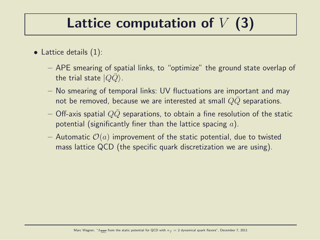### Lattice computation of  $V(3)$

- Lattice details (1):
	- APE smearing of spatial links, to "optimize" the ground state overlap of the trial state  $|Q\bar{Q}\rangle$ .
	- No smearing of temporal links: UV fluctuations are important and may not be removed, because we are interested at small  $QQ$  separations.
	- Off-axis spatial  $QQ$  separations, to obtain a fine resolution of the static potential (significantly finer than the lattice spacing  $a$ ).
	- Automatic  $\mathcal{O}(a)$  improvement of the static potential, due to twisted mass lattice QCD (the specific quark discretization we are using).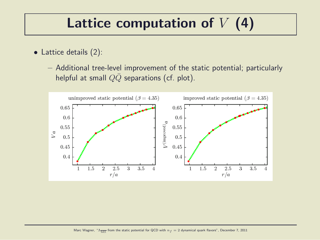### Lattice computation of  $V(4)$

- Lattice details (2):
	- Additional tree-level improvement of the static potential; particularly helpful at small  $Q\bar{Q}$  separations (cf. plot).

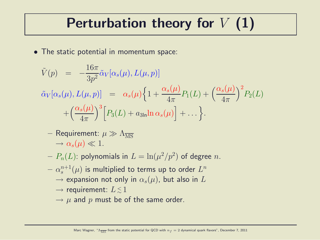#### Perturbation theory for  $V(1)$

• The static potential in momentum space:

$$
\tilde{V}(p) = -\frac{16\pi}{3p^2} \tilde{\alpha}_V[\alpha_s(\mu), L(\mu, p)]
$$
\n
$$
\tilde{\alpha}_V[\alpha_s(\mu), L(\mu, p)] = \alpha_s(\mu) \left\{ 1 + \frac{\alpha_s(\mu)}{4\pi} P_1(L) + \left(\frac{\alpha_s(\mu)}{4\pi}\right)^2 P_2(L) + \left(\frac{\alpha_s(\mu)}{4\pi}\right)^3 \left[ P_3(L) + a_{3\ln} \ln \alpha_s(\mu) \right] + \dots \right\}.
$$

- Requirement:  $\mu \gg \Lambda_{\overline{\rm MS}}$  $\rightarrow \alpha_s(\mu) \ll 1.$
- $-\; P_n(L)$ : polynomials in  $L=\ln(\mu^2/p^2)$  of degree  $n.$
- $-\alpha_s^{n+1}$  $_s^{n+1}(\mu)$  is multiplied to terms up to order  $L^n$ 
	- $\rightarrow$  expansion not only in  $\alpha_s(\mu)$ , but also in L
	- $\rightarrow$  requirement:  $L \lesssim 1$
	- $\rightarrow \mu$  and p must be of the same order.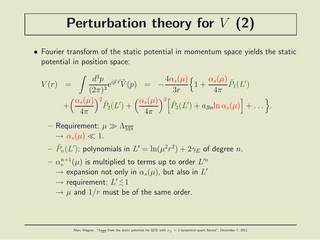#### Perturbation theory for  $V(2)$

• Fourier transform of the static potential in momentum space yields the static potential in position space:

$$
V(r) = \int \frac{d^3p}{(2\pi)^3} e^{i\vec{p}\cdot\vec{r}} \tilde{V}(p) = -\frac{4\alpha_s(\mu)}{3r} \Big\{ 1 + \frac{\alpha_s(\mu)}{4\pi} \tilde{P}_1(L')
$$
  
 
$$
+ \Big(\frac{\alpha_s(\mu)}{4\pi}\Big)^2 \tilde{P}_2(L') + \Big(\frac{\alpha_s(\mu)}{4\pi}\Big)^3 \Big[ \tilde{P}_3(L') + a_{3\ln} \ln \alpha_s(\mu) \Big] + \dots \Big\}.
$$

- Requirement:  $\mu \gg \Lambda_{\overline{\rm MS}}$  $\rightarrow \alpha_s(\mu) \ll 1.$
- $-\,\,\tilde{P}_n(L')$ : polynomials in  $L'=\ln(\mu^2 r^2)+2\gamma_E$  of degree  $n.$
- $-\alpha_s^{n+1}$  $_s^{n+1}(\mu)$  is multiplied to terms up to order  $L'^n$ 
	- $\rightarrow$  expansion not only in  $\alpha_s(\mu)$ , but also in  $L'$
	- $\rightarrow$  requirement:  $L' \lesssim 1$
	- $\rightarrow \mu$  and  $1/r$  must be of the same order.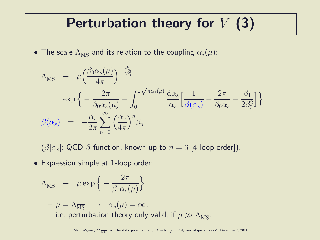### Perturbation theory for  $V(3)$

• The scale  $\Lambda_{\overline{\text{MS}}}$  and its relation to the coupling  $\alpha_s(\mu)$ :

$$
\Lambda_{\overline{\rm MS}} = \mu \left( \frac{\beta_0 \alpha_s(\mu)}{4\pi} \right)^{-\frac{\beta_1}{2\beta_0^2}} \exp \left\{ -\frac{2\pi}{\beta_0 \alpha_s(\mu)} - \int_0^{2\sqrt{\pi \alpha_s(\mu)}} \frac{d\alpha_s}{\alpha_s} \left[ \frac{1}{\beta(\alpha_s)} + \frac{2\pi}{\beta_0 \alpha_s} - \frac{\beta_1}{2\beta_0^2} \right] \right\}
$$
  

$$
\beta(\alpha_s) = -\frac{\alpha_s}{2\pi} \sum_{n=0}^{\infty} \left( \frac{\alpha_s}{4\pi} \right)^n \beta_n
$$

 $(\beta[\alpha_s]: \text{QCD }\beta\text{-function},$  known up to  $n = 3$  [4-loop order]).

• Expression simple at 1-loop order:

$$
\Lambda_{\overline{\rm MS}} \equiv \mu \exp\Big\{-\frac{2\pi}{\beta_0 \alpha_s(\mu)}\Big\}.
$$

 $-\mu = \Lambda_{\overline{\rm MS}} \rightarrow \alpha_s(\mu) = \infty$ , i.e. perturbation theory only valid, if  $\mu \gg \Lambda_{\overline{\rm MS}}$ .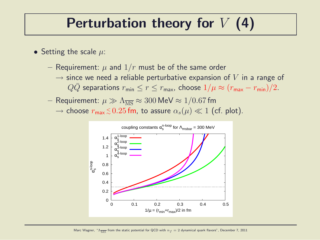#### Perturbation theory for  $V$  (4)

- Setting the scale  $\mu$ :
	- Requirement:  $\mu$  and  $1/r$  must be of the same order
		- $\rightarrow$  since we need a reliable perturbative expansion of V in a range of  $QQ$  separations  $r_{\min} \le r \le r_{\max}$ , choose  $1/\mu \approx (r_{\max} - r_{\min})/2$ .
	- Requirement:  $\mu \gg \Lambda_{\overline{\rm MS}} \approx 300$  MeV  $\approx 1/0.67$  fm  $\rightarrow$  choose  $r_{\sf max} \, \lesssim \, 0.25$  fm, to assure  $\alpha_s(\mu) \ll 1$  (cf. plot).

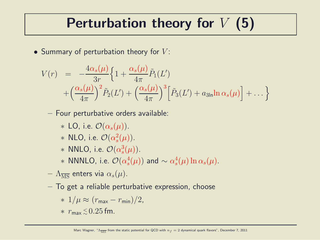#### Perturbation theory for  $V(5)$

• Summary of perturbation theory for  $V$ :

$$
V(r) = -\frac{4\alpha_s(\mu)}{3r} \Big\{ 1 + \frac{\alpha_s(\mu)}{4\pi} \tilde{P}_1(L')
$$
  
+ 
$$
\Big(\frac{\alpha_s(\mu)}{4\pi}\Big)^2 \tilde{P}_2(L') + \Big(\frac{\alpha_s(\mu)}{4\pi}\Big)^3 \Big[ \tilde{P}_3(L') + a_{3\ln} \ln \alpha_s(\mu) \Big] + \dots \Big\}
$$

- Four perturbative orders available:
	- $\ast$  LO, i.e.  $\mathcal{O}(\alpha_s(\mu)).$
	- $*$  NLO, i.e.  $\mathcal{O}(\alpha_s^2)$  $_s^2(\mu)$ .
	- $*$  NNLO, i.e.  $\mathcal{O}(\alpha_s^3)$  $s^3(\mu)$ ).
	- $*$  NNNLO, i.e.  $\mathcal{O}(\alpha_s^4)$  $_s^4(\mu)$ ) and  $\sim \alpha_s^4$  $\frac{4}{s}(\mu) \ln \alpha_s(\mu)$ .
- $\Lambda_{\overline{\rm MS}}$  enters via  $\alpha_s(\mu)$ .
- To get a reliable perturbative expression, choose

$$
* 1/\mu \approx (r_{\text{max}} - r_{\text{min}})/2,
$$

 $∗ r<sub>max</sub> ≤ 0.25 fm.$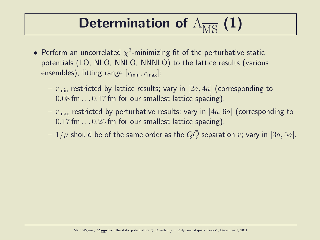## Determination of  $\Lambda_{\overline{\rm MS}}$  (1)

- Perform an uncorrelated  $\chi^2$ -minimizing fit of the perturbative static potentials (LO, NLO, NNLO, NNNLO) to the lattice results (various ensembles), fitting range  $[r_{\min}, r_{\max}]$ :
	- $r_{\rm min}$  restricted by lattice results; vary in [2a, 4a] (corresponding to 0.08 fm. . . 0.17 fm for our smallest lattice spacing).
	- $r_{\text{max}}$  restricted by perturbative results; vary in [4a, 6a] (corresponding to  $0.17$  fm... $0.25$  fm for our smallest lattice spacing).
	- $-1/\mu$  should be of the same order as the QQ separation r; vary in [3a, 5a].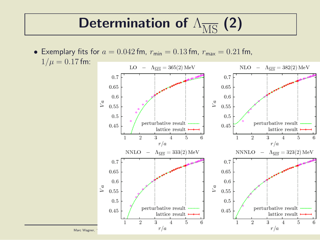## Determination of  $\Lambda_{\overline{\rm MS}}$  (2)

• Exemplary fits for  $a = 0.042$  fm,  $r_{\text{min}} = 0.13$  fm,  $r_{\text{max}} = 0.21$  fm,  $1/\mu = 0.17$  fm:

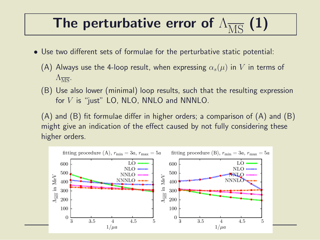#### The perturbative error of  $\Lambda_{\overline{MS}}(1)$

- Use two different sets of formulae for the perturbative static potential:
	- (A) Always use the 4-loop result, when expressing  $\alpha_s(\mu)$  in V in terms of  $\Lambda_{\overline{\rm MS}}$ .
	- (B) Use also lower (minimal) loop results, such that the resulting expression for  $V$  is "just" LO, NLO, NNLO and NNNLO.

(A) and (B) fit formulae differ in higher orders; a comparison of (A) and (B) might give an indication of the effect caused by not fully considering these higher orders.

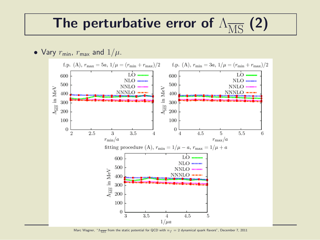#### The perturbative error of  $\Lambda_{\overline{\rm MS}}$  (2)



Marc Wagner, " $\Lambda_{\overline{MS}}$  from the static potential for QCD with  $n_f = 2$  dynamical quark flavors", December 7, 2011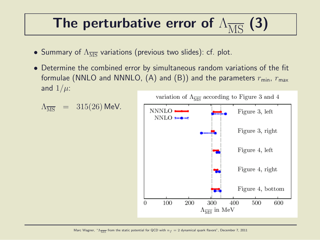### The perturbative error of  $\Lambda_{\overline{\rm MS}}$  (3)

- Summary of  $\Lambda_{\overline{MS}}$  variations (previous two slides): cf. plot.
- Determine the combined error by simultaneous random variations of the fit formulae (NNLO and NNNLO, (A) and (B)) and the parameters  $r_{\text{min}}$ ,  $r_{\text{max}}$ and  $1/\mu$ :

$$
\Lambda_{\overline{\rm MS}}\ =\ 315(26)\ \text{MeV}.
$$

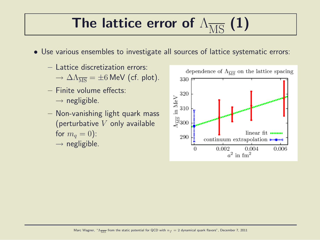# The lattice error of  $\Lambda_{\overline{\rm MS}}$  (1)

- Use various ensembles to investigate all sources of lattice systematic errors:
	- Lattice discretization errors:
		- $\rightarrow \Delta \Lambda_{\overline{\rm MS}} = \pm 6$  MeV (cf. plot).
	- Finite volume effects:  $\rightarrow$  negligible.
	- Non-vanishing light quark mass (perturbative  $V$  only available for  $m_q = 0$ :  $\rightarrow$  negligible.

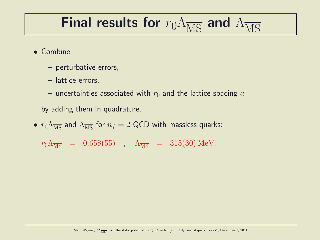### Final results for  $r_0\Lambda_{\overline{\rm MS}}$  and  $\Lambda_{\overline{\rm MS}}$

- Combine
	- perturbative errors,
	- lattice errors,
	- uncertainties associated with  $r_0$  and the lattice spacing a
	- by adding them in quadrature.
- $r_0 \Lambda_{\overline{\rm MS}}$  and  $\Lambda_{\overline{\rm MS}}$  for  $n_f = 2$  QCD with massless quarks:

 $r_0 \Lambda_{\overline{\rm MS}} = 0.658(55)$ ,  $\Lambda_{\overline{\rm MS}} = 315(30)$  MeV.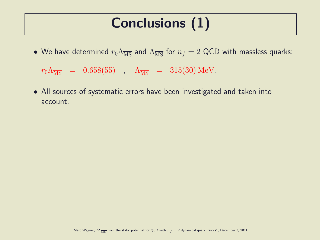### Conclusions (1)

• We have determined  $r_0 \Lambda_{\overline{MS}}$  and  $\Lambda_{\overline{MS}}$  for  $n_f = 2$  QCD with massless quarks:

 $r_0 \Lambda_{\overline{\rm MS}} = 0.658(55)$ ,  $\Lambda_{\overline{\rm MS}} = 315(30)$  MeV.

• All sources of systematic errors have been investigated and taken into account.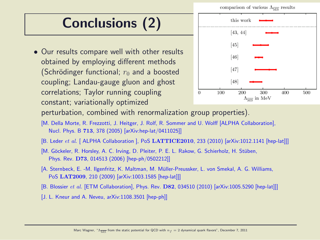comparison of various  $\Lambda_{\overline{MS}}$  results

### Conclusions (2)

• Our results compare well with other results obtained by employing different methods (Schrödinger functional;  $r_0$  and a boosted coupling; Landau-gauge gluon and ghost correlations; Taylor running coupling constant; variationally optimized



perturbation, combined with renormalization group properties).

- [M. Della Morte, R. Frezzotti, J. Heitger, J. Rolf, R. Sommer and U. Wolff [ALPHA Collaboration], Nucl. Phys. B 713, 378 (2005) [arXiv:hep-lat/0411025]]
- [B. Leder et al. [ ALPHA Collaboration ], PoS LATTICE2010, 233 (2010) [arXiv:1012.1141 [hep-lat]]]
- [M. Göckeler, R. Horsley, A. C. Irving, D. Pleiter, P. E. L. Rakow, G. Schierholz, H. Stüben, Phys. Rev. D73, 014513 (2006) [hep-ph/0502212]]
- [A. Sternbeck, E. -M. Ilgenfritz, K. Maltman, M. Muller-Preussker, L. von Smekal, A. G. Williams, ¨ PoS LAT2009, 210 (2009) [arXiv:1003.1585 [hep-lat]]]
- [B. Blossier et al. [ETM Collaboration], Phys. Rev. D82, 034510 (2010) [arXiv:1005.5290 [hep-lat]]]
- [J. L. Kneur and A. Neveu, arXiv:1108.3501 [hep-ph]]